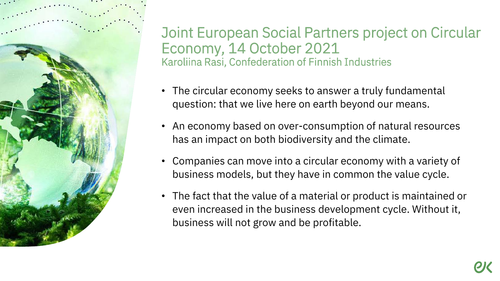

## Joint European Social Partners project on Circular Economy, 14 October 2021 Karoliina Rasi, Confederation of Finnish Industries

- The circular economy seeks to answer a truly fundamental question: that we live here on earth beyond our means.
- An economy based on over-consumption of natural resources has an impact on both biodiversity and the climate.
- Companies can move into a circular economy with a variety of business models, but they have in common the value cycle.
- The fact that the value of a material or product is maintained or even increased in the business development cycle. Without it, business will not grow and be profitable.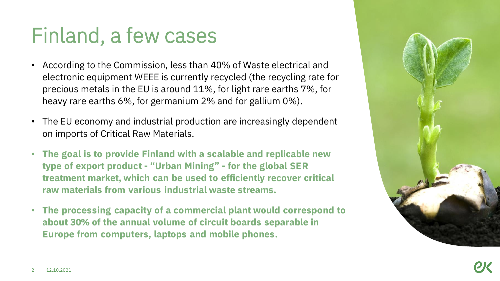## Finland, a few cases

- According to the Commission, less than 40% of Waste electrical and electronic equipment WEEE is currently recycled (the recycling rate for precious metals in the EU is around 11%, for light rare earths 7%, for heavy rare earths 6%, for germanium 2% and for gallium 0%).
- The EU economy and industrial production are increasingly dependent on imports of Critical Raw Materials.
- **The goal is to provide Finland with a scalable and replicable new type of export product - "Urban Mining" - for the global SER treatment market, which can be used to efficiently recover critical raw materials from various industrial waste streams.**
- **The processing capacity of a commercial plant would correspond to about 30% of the annual volume of circuit boards separable in Europe from computers, laptops and mobile phones.**

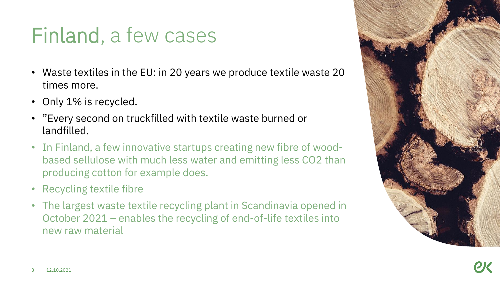## Finland, a few cases

- Waste textiles in the EU: in 20 years we produce textile waste 20 times more.
- Only 1% is recycled.
- "Every second on truckfilled with textile waste burned or landfilled.
- In Finland, a few innovative startups creating new fibre of woodbased sellulose with much less water and emitting less CO2 than producing cotton for example does.
- Recycling textile fibre
- The largest waste textile recycling plant in Scandinavia opened in October 2021 – enables the recycling of end-of-life textiles into new raw material